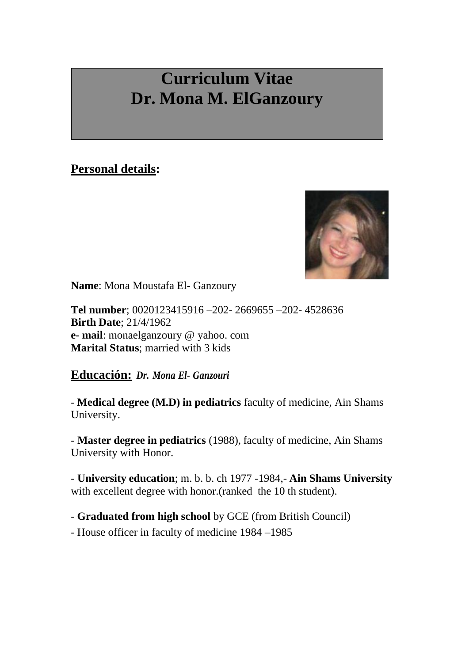## **Curriculum Vitae Dr. Mona M. ElGanzoury**

## **Personal details:**



**Name**: Mona Moustafa El- Ganzoury

**Tel number**; 0020123415916 –202- 2669655 –202- 4528636 **Birth Date**; 21/4/1962 **e- mail**: monaelganzoury @ yahoo. com **Marital Status**; married with 3 kids

**Educación:** *Dr. Mona El- Ganzouri*

- **Medical degree (M.D) in pediatrics** faculty of medicine, Ain Shams University.

**- Master degree in pediatrics** (1988), faculty of medicine, Ain Shams University with Honor.

**- University education**; m. b. b. ch 1977 -1984,- **Ain Shams University** with excellent degree with honor.(ranked the 10 th student).

- **Graduated from high school** by GCE (from British Council)

- House officer in faculty of medicine 1984 –1985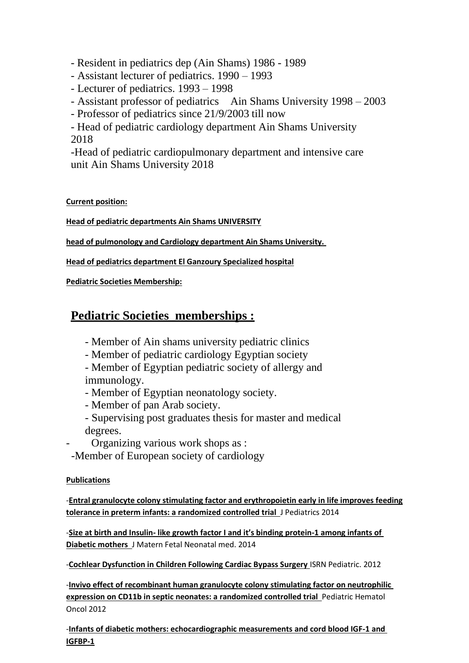- Resident in pediatrics dep (Ain Shams) 1986 - 1989

- Assistant lecturer of pediatrics. 1990 – 1993

- Lecturer of pediatrics. 1993 1998
- Assistant professor of pediatrics Ain Shams University 1998 2003
- Professor of pediatrics since 21/9/2003 till now

- Head of pediatric cardiology department Ain Shams University 2018

-Head of pediatric cardiopulmonary department and intensive care unit Ain Shams University 2018

**Current position:**

**Head of pediatric departments Ain Shams UNIVERSITY**

**head of pulmonology and Cardiology department Ain Shams University.** 

**Head of pediatrics department El Ganzoury Specialized hospital**

**Pediatric Societies Membership:**

## **Pediatric Societies memberships :**

- Member of Ain shams university pediatric clinics

- Member of pediatric cardiology Egyptian society

- Member of Egyptian pediatric society of allergy and immunology.

- Member of Egyptian neonatology society.
- Member of pan Arab society.
- Supervising post graduates thesis for master and medical degrees.
- Organizing various work shops as :

-Member of European society of cardiology

## **Publications**

-**Entral granulocyte colony stimulating factor and erythropoietin early in life improves feeding tolerance in preterm infants: a randomized controlled trial** J Pediatrics 2014

-**Size at birth and Insulin- like growth factor I and it's binding protein-1 among infants of Diabetic mothers** J Matern Fetal Neonatal med. 2014

-**Cochlear Dysfunction in Children Following Cardiac Bypass Surgery** ISRN Pediatric. 2012

-**Invivo effect of recombinant human granulocyte colony stimulating factor on neutrophilic expression on CD11b in septic neonates: a randomized controlled trial** Pediatric Hematol Oncol 2012

-**Infants of diabetic mothers: echocardiographic measurements and cord blood IGF-1 and IGFBP-1**